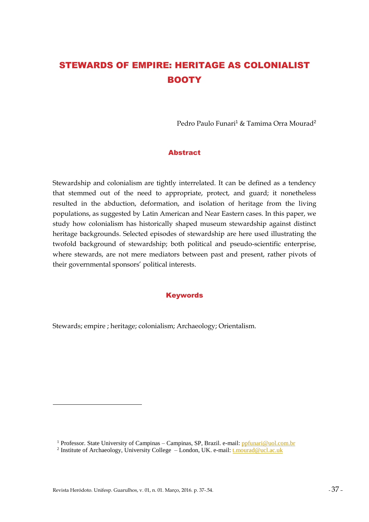# STEWARDS OF EMPIRE: HERITAGE AS COLONIALIST **BOOTY**

Pedro Paulo Funari<sup>1</sup> & Tamima Orra Mourad<sup>2</sup>

### Abstract

Stewardship and colonialism are tightly interrelated. It can be defined as a tendency that stemmed out of the need to appropriate, protect, and guard; it nonetheless resulted in the abduction, deformation, and isolation of heritage from the living populations, as suggested by Latin American and Near Eastern cases. In this paper, we study how colonialism has historically shaped museum stewardship against distinct heritage backgrounds. Selected episodes of stewardship are here used illustrating the twofold background of stewardship; both political and pseudo-scientific enterprise, where stewards, are not mere mediators between past and present, rather pivots of their governmental sponsors' political interests.

#### Keywords

Stewards; empire ; heritage; colonialism; Archaeology; Orientalism.

<u>.</u>

<sup>&</sup>lt;sup>1</sup> Professor. State University of Campinas – Campinas, SP, Brazil. e-mail: [ppfunari@uol.com.br](mailto:ppfunari@uol.com.br)

<sup>&</sup>lt;sup>2</sup> Institute of Archaeology, University College - London, UK. e-mail: [t.mourad@ucl.ac.uk](mailto:t.mourad@ucl.ac.uk)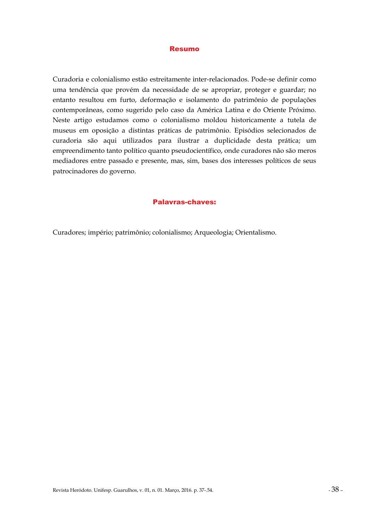#### Resumo

Curadoria e colonialismo estão estreitamente inter-relacionados. Pode-se definir como uma tendência que provém da necessidade de se apropriar, proteger e guardar; no entanto resultou em furto, deformação e isolamento do patrimônio de populações contemporâneas, como sugerido pelo caso da América Latina e do Oriente Próximo. Neste artigo estudamos como o colonialismo moldou historicamente a tutela de museus em oposição a distintas práticas de patrimônio. Episódios selecionados de curadoria são aqui utilizados para ilustrar a duplicidade desta prática; um empreendimento tanto político quanto pseudocientífico, onde curadores não são meros mediadores entre passado e presente, mas, sim, bases dos interesses políticos de seus patrocinadores do governo.

#### Palavras-chaves:

Curadores; império; patrimônio; colonialismo; Arqueologia; Orientalismo.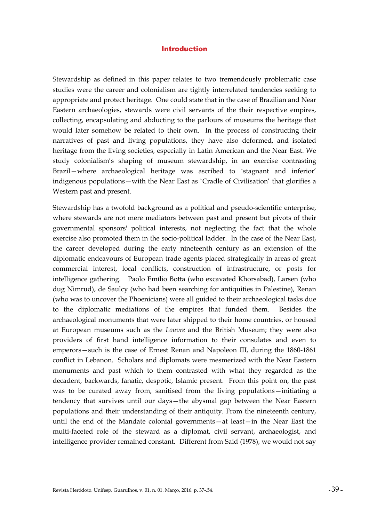#### Introduction

Stewardship as defined in this paper relates to two tremendously problematic case studies were the career and colonialism are tightly interrelated tendencies seeking to appropriate and protect heritage. One could state that in the case of Brazilian and Near Eastern archaeologies, stewards were civil servants of the their respective empires, collecting, encapsulating and abducting to the parlours of museums the heritage that would later somehow be related to their own. In the process of constructing their narratives of past and living populations, they have also deformed, and isolated heritage from the living societies, especially in Latin American and the Near East. We study colonialism's shaping of museum stewardship, in an exercise contrasting Brazil—where archaeological heritage was ascribed to `stagnant and inferior' indigenous populations—with the Near East as `Cradle of Civilisation' that glorifies a Western past and present.

Stewardship has a twofold background as a political and pseudo-scientific enterprise, where stewards are not mere mediators between past and present but pivots of their governmental sponsors' political interests, not neglecting the fact that the whole exercise also promoted them in the socio-political ladder. In the case of the Near East, the career developed during the early nineteenth century as an extension of the diplomatic endeavours of European trade agents placed strategically in areas of great commercial interest, local conflicts, construction of infrastructure, or posts for intelligence gathering. Paolo Emílio Botta (who excavated Khorsabad), Larsen (who dug Nimrud), de Saulcy (who had been searching for antiquities in Palestine), Renan (who was to uncover the Phoenicians) were all guided to their archaeological tasks due to the diplomatic mediations of the empires that funded them. Besides the archaeological monuments that were later shipped to their home countries, or housed at European museums such as the *Louvre* and the British Museum; they were also providers of first hand intelligence information to their consulates and even to emperors—such is the case of Ernest Renan and Napoleon III, during the 1860-1861 conflict in Lebanon. Scholars and diplomats were mesmerized with the Near Eastern monuments and past which to them contrasted with what they regarded as the decadent, backwards, fanatic, despotic, Islamic present. From this point on, the past was to be curated away from, sanitised from the living populations—initiating a tendency that survives until our days—the abysmal gap between the Near Eastern populations and their understanding of their antiquity. From the nineteenth century, until the end of the Mandate colonial governments—at least—in the Near East the multi-faceted role of the steward as a diplomat, civil servant, archaeologist, and intelligence provider remained constant. Different from Said (1978), we would not say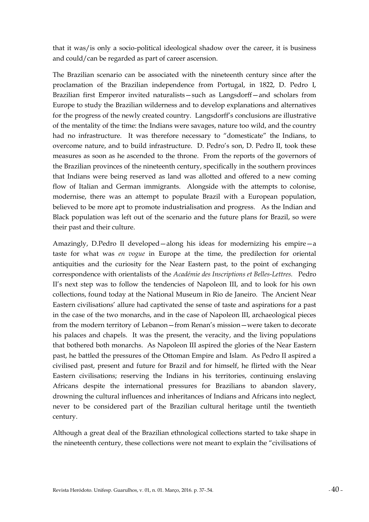that it was/is only a socio-political ideological shadow over the career, it is business and could/can be regarded as part of career ascension.

The Brazilian scenario can be associated with the nineteenth century since after the proclamation of the Brazilian independence from Portugal, in 1822, D. Pedro I, Brazilian first Emperor invited naturalists—such as Langsdorff—and scholars from Europe to study the Brazilian wilderness and to develop explanations and alternatives for the progress of the newly created country. Langsdorff's conclusions are illustrative of the mentality of the time: the Indians were savages, nature too wild, and the country had no infrastructure. It was therefore necessary to "domesticate" the Indians, to overcome nature, and to build infrastructure. D. Pedro's son, D. Pedro II, took these measures as soon as he ascended to the throne. From the reports of the governors of the Brazilian provinces of the nineteenth century, specifically in the southern provinces that Indians were being reserved as land was allotted and offered to a new coming flow of Italian and German immigrants. Alongside with the attempts to colonise, modernise, there was an attempt to populate Brazil with a European population, believed to be more apt to promote industrialisation and progress. As the Indian and Black population was left out of the scenario and the future plans for Brazil, so were their past and their culture.

Amazingly, D.Pedro II developed—along his ideas for modernizing his empire—a taste for what was *en vogue* in Europe at the time, the predilection for oriental antiquities and the curiosity for the Near Eastern past, to the point of exchanging correspondence with orientalists of the *Académie des Inscriptions et Belles-Lettres.* Pedro II's next step was to follow the tendencies of Napoleon III, and to look for his own collections, found today at the National Museum in Rio de Janeiro. The Ancient Near Eastern civilisations' allure had captivated the sense of taste and aspirations for a past in the case of the two monarchs, and in the case of Napoleon III, archaeological pieces from the modern territory of Lebanon—from Renan's mission—were taken to decorate his palaces and chapels. It was the present, the veracity, and the living populations that bothered both monarchs. As Napoleon III aspired the glories of the Near Eastern past, he battled the pressures of the Ottoman Empire and Islam. As Pedro II aspired a civilised past, present and future for Brazil and for himself, he flirted with the Near Eastern civilisations; reserving the Indians in his territories, continuing enslaving Africans despite the international pressures for Brazilians to abandon slavery, drowning the cultural influences and inheritances of Indians and Africans into neglect, never to be considered part of the Brazilian cultural heritage until the twentieth century.

Although a great deal of the Brazilian ethnological collections started to take shape in the nineteenth century, these collections were not meant to explain the "civilisations of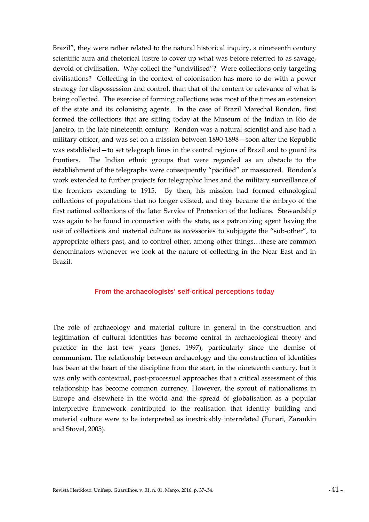Brazil", they were rather related to the natural historical inquiry, a nineteenth century scientific aura and rhetorical lustre to cover up what was before referred to as savage, devoid of civilisation. Why collect the "uncivilised"? Were collections only targeting civilisations? Collecting in the context of colonisation has more to do with a power strategy for dispossession and control, than that of the content or relevance of what is being collected. The exercise of forming collections was most of the times an extension of the state and its colonising agents. In the case of Brazil Marechal Rondon, first formed the collections that are sitting today at the Museum of the Indian in Rio de Janeiro, in the late nineteenth century. Rondon was a natural scientist and also had a military officer, and was set on a mission between 1890-1898—soon after the Republic was established—to set telegraph lines in the central regions of Brazil and to guard its frontiers. The Indian ethnic groups that were regarded as an obstacle to the establishment of the telegraphs were consequently "pacified" or massacred. Rondon's work extended to further projects for telegraphic lines and the military surveillance of the frontiers extending to 1915. By then, his mission had formed ethnological collections of populations that no longer existed, and they became the embryo of the first national collections of the later Service of Protection of the Indians. Stewardship was again to be found in connection with the state, as a patronizing agent having the use of collections and material culture as accessories to subjugate the "sub-other", to appropriate others past, and to control other, among other things…these are common denominators whenever we look at the nature of collecting in the Near East and in Brazil.

#### **From the archaeologists' self-critical perceptions today**

The role of archaeology and material culture in general in the construction and legitimation of cultural identities has become central in archaeological theory and practice in the last few years (Jones, 1997), particularly since the demise of communism. The relationship between archaeology and the construction of identities has been at the heart of the discipline from the start, in the nineteenth century, but it was only with contextual, post-processual approaches that a critical assessment of this relationship has become common currency. However, the sprout of nationalisms in Europe and elsewhere in the world and the spread of globalisation as a popular interpretive framework contributed to the realisation that identity building and material culture were to be interpreted as inextricably interrelated (Funari, Zarankin and Stovel, 2005).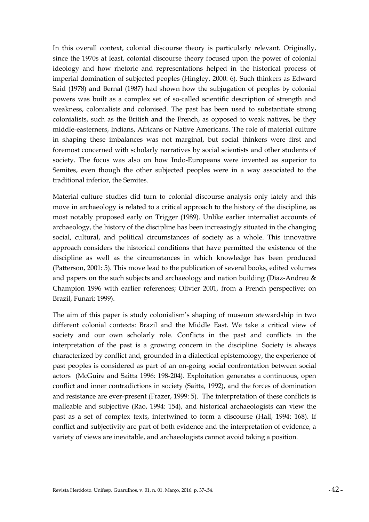In this overall context, colonial discourse theory is particularly relevant. Originally, since the 1970s at least, colonial discourse theory focused upon the power of colonial ideology and how rhetoric and representations helped in the historical process of imperial domination of subjected peoples (Hingley, 2000: 6). Such thinkers as Edward Said (1978) and Bernal (1987) had shown how the subjugation of peoples by colonial powers was built as a complex set of so-called scientific description of strength and weakness, colonialists and colonised. The past has been used to substantiate strong colonialists, such as the British and the French, as opposed to weak natives, be they middle-easterners, Indians, Africans or Native Americans. The role of material culture in shaping these imbalances was not marginal, but social thinkers were first and foremost concerned with scholarly narratives by social scientists and other students of society. The focus was also on how Indo-Europeans were invented as superior to Semites, even though the other subjected peoples were in a way associated to the traditional inferior, the Semites.

Material culture studies did turn to colonial discourse analysis only lately and this move in archaeology is related to a critical approach to the history of the discipline, as most notably proposed early on Trigger (1989). Unlike earlier internalist accounts of archaeology, the history of the discipline has been increasingly situated in the changing social, cultural, and political circumstances of society as a whole. This innovative approach considers the historical conditions that have permitted the existence of the discipline as well as the circumstances in which knowledge has been produced (Patterson, 2001: 5). This move lead to the publication of several books, edited volumes and papers on the such subjects and archaeology and nation building (Díaz-Andreu  $\&$ Champion 1996 with earlier references; Olivier 2001, from a French perspective; on Brazil, Funari: 1999).

The aim of this paper is study colonialism's shaping of museum stewardship in two different colonial contexts: Brazil and the Middle East. We take a critical view of society and our own scholarly role. Conflicts in the past and conflicts in the interpretation of the past is a growing concern in the discipline. Society is always characterized by conflict and, grounded in a dialectical epistemology, the experience of past peoples is considered as part of an on-going social confrontation between social actors (McGuire and Saitta 1996: 198-204). Exploitation generates a continuous, open conflict and inner contradictions in society (Saitta, 1992), and the forces of domination and resistance are ever-present (Frazer, 1999: 5). The interpretation of these conflicts is malleable and subjective (Rao, 1994: 154), and historical archaeologists can view the past as a set of complex texts, intertwined to form a discourse (Hall, 1994: 168). If conflict and subjectivity are part of both evidence and the interpretation of evidence, a variety of views are inevitable, and archaeologists cannot avoid taking a position.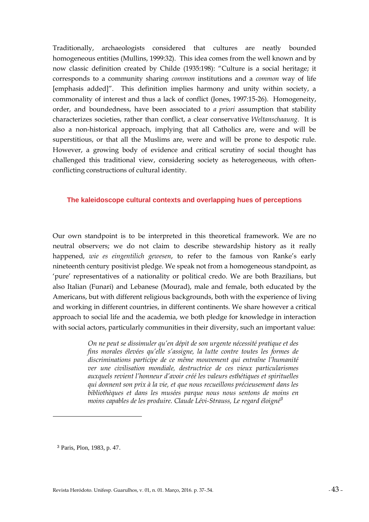Traditionally, archaeologists considered that cultures are neatly bounded homogeneous entities (Mullins, 1999:32). This idea comes from the well known and by now classic definition created by Childe (1935:198): "Culture is a social heritage; it corresponds to a community sharing *common* institutions and a *common* way of life [emphasis added]". This definition implies harmony and unity within society, a commonality of interest and thus a lack of conflict (Jones, 1997:15-26). Homogeneity, order, and boundedness, have been associated to *a priori* assumption that stability characterizes societies, rather than conflict, a clear conservative *Weltanschaaung*. It is also a non-historical approach, implying that all Catholics are, were and will be superstitious, or that all the Muslims are, were and will be prone to despotic rule. However, a growing body of evidence and critical scrutiny of social thought has challenged this traditional view, considering society as heterogeneous, with oftenconflicting constructions of cultural identity.

#### **The kaleidoscope cultural contexts and overlapping hues of perceptions**

Our own standpoint is to be interpreted in this theoretical framework. We are no neutral observers; we do not claim to describe stewardship history as it really happened, *wie es eingentilich gewesen*, to refer to the famous von Ranke's early nineteenth century positivist pledge. We speak not from a homogeneous standpoint, as 'pure' representatives of a nationality or political credo. We are both Brazilians, but also Italian (Funari) and Lebanese (Mourad), male and female, both educated by the Americans, but with different religious backgrounds, both with the experience of living and working in different countries, in different continents. We share however a critical approach to social life and the academia, we both pledge for knowledge in interaction with social actors, particularly communities in their diversity, such an important value:

> *On ne peut se dissimuler qu'en dépit de son urgente nécessité pratique et des fins morales élevées qu'elle s'assigne, la lutte contre toutes les formes de discriminations participe de ce même mouvement qui entraîne l'humanité ver une civilisation mondiale, destructrice de ces vieux particularismes auxquels revient l'honneur d'avoir créé les valeurs esthétiques et spirituelles qui donnent son prix à la vie, et que nous recueillons précieusement dans les bibliothèques et dans les musées parque nous nous sentons de moins en moins capables de les produire. Claude Lévi-Strauss, Le regard éloigné<sup>3</sup>*

<u>.</u>

<sup>3</sup> Paris, Plon, 1983, p. 47.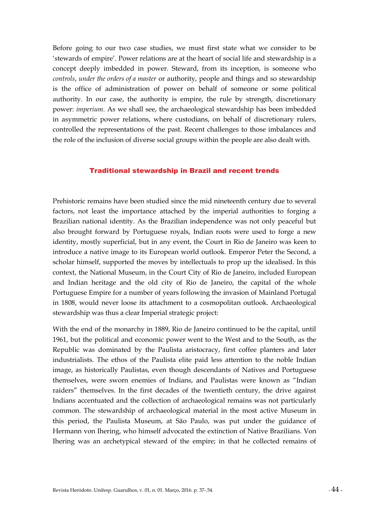Before going to our two case studies, we must first state what we consider to be 'stewards of empire'. Power relations are at the heart of social life and stewardship is a concept deeply imbedded in power. Steward, from its inception, is someone who *controls*, *under the orders of a master* or authority, people and things and so stewardship is the office of administration of power on behalf of someone or some political authority. In our case, the authority is empire, the rule by strength, discretionary power: *imperium*. As we shall see, the archaeological stewardship has been imbedded in asymmetric power relations, where custodians, on behalf of discretionary rulers, controlled the representations of the past. Recent challenges to those imbalances and the role of the inclusion of diverse social groups within the people are also dealt with.

#### Traditional stewardship in Brazil and recent trends

Prehistoric remains have been studied since the mid nineteenth century due to several factors, not least the importance attached by the imperial authorities to forging a Brazilian national identity. As the Brazilian independence was not only peaceful but also brought forward by Portuguese royals, Indian roots were used to forge a new identity, mostly superficial, but in any event, the Court in Rio de Janeiro was keen to introduce a native image to its European world outlook. Emperor Peter the Second, a scholar himself, supported the moves by intellectuals to prop up the idealised. In this context, the National Museum, in the Court City of Rio de Janeiro, included European and Indian heritage and the old city of Rio de Janeiro, the capital of the whole Portuguese Empire for a number of years following the invasion of Mainland Portugal in 1808, would never loose its attachment to a cosmopolitan outlook. Archaeological stewardship was thus a clear Imperial strategic project:

With the end of the monarchy in 1889, Rio de Janeiro continued to be the capital, until 1961, but the political and economic power went to the West and to the South, as the Republic was dominated by the Paulista aristocracy, first coffee planters and later industrialists. The ethos of the Paulista elite paid less attention to the noble Indian image, as historically Paulistas, even though descendants of Natives and Portuguese themselves, were sworn enemies of Indians, and Paulistas were known as "Indian raiders" themselves. In the first decades of the twentieth century, the drive against Indians accentuated and the collection of archaeological remains was not particularly common. The stewardship of archaeological material in the most active Museum in this period, the Paulista Museum, at São Paulo, was put under the guidance of Hermann von Ihering, who himself advocated the extinction of Native Brazilians. Von Ihering was an archetypical steward of the empire; in that he collected remains of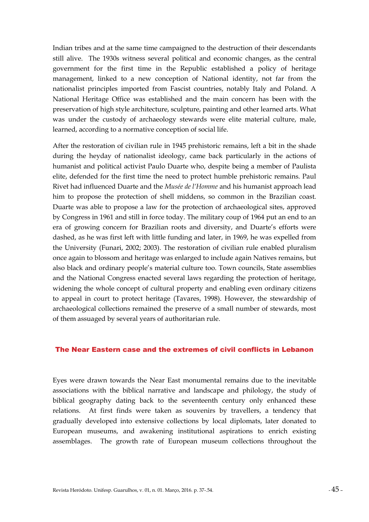Indian tribes and at the same time campaigned to the destruction of their descendants still alive. The 1930s witness several political and economic changes, as the central government for the first time in the Republic established a policy of heritage management, linked to a new conception of National identity, not far from the nationalist principles imported from Fascist countries, notably Italy and Poland. A National Heritage Office was established and the main concern has been with the preservation of high style architecture, sculpture, painting and other learned arts. What was under the custody of archaeology stewards were elite material culture, male, learned, according to a normative conception of social life.

After the restoration of civilian rule in 1945 prehistoric remains, left a bit in the shade during the heyday of nationalist ideology, came back particularly in the actions of humanist and political activist Paulo Duarte who, despite being a member of Paulista elite, defended for the first time the need to protect humble prehistoric remains. Paul Rivet had influenced Duarte and the *Musée de l'Homme* and his humanist approach lead him to propose the protection of shell middens, so common in the Brazilian coast. Duarte was able to propose a law for the protection of archaeological sites, approved by Congress in 1961 and still in force today. The military coup of 1964 put an end to an era of growing concern for Brazilian roots and diversity, and Duarte's efforts were dashed, as he was first left with little funding and later, in 1969, he was expelled from the University (Funari, 2002; 2003). The restoration of civilian rule enabled pluralism once again to blossom and heritage was enlarged to include again Natives remains, but also black and ordinary people's material culture too. Town councils, State assemblies and the National Congress enacted several laws regarding the protection of heritage, widening the whole concept of cultural property and enabling even ordinary citizens to appeal in court to protect heritage (Tavares, 1998). However, the stewardship of archaeological collections remained the preserve of a small number of stewards, most of them assuaged by several years of authoritarian rule.

#### The Near Eastern case and the extremes of civil conflicts in Lebanon

Eyes were drawn towards the Near East monumental remains due to the inevitable associations with the biblical narrative and landscape and philology, the study of biblical geography dating back to the seventeenth century only enhanced these relations. At first finds were taken as souvenirs by travellers, a tendency that gradually developed into extensive collections by local diplomats, later donated to European museums, and awakening institutional aspirations to enrich existing assemblages. The growth rate of European museum collections throughout the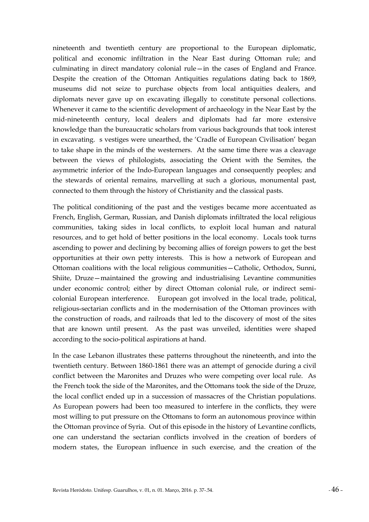nineteenth and twentieth century are proportional to the European diplomatic, political and economic infiltration in the Near East during Ottoman rule; and culminating in direct mandatory colonial rule—in the cases of England and France. Despite the creation of the Ottoman Antiquities regulations dating back to 1869, museums did not seize to purchase objects from local antiquities dealers, and diplomats never gave up on excavating illegally to constitute personal collections. Whenever it came to the scientific development of archaeology in the Near East by the mid-nineteenth century, local dealers and diplomats had far more extensive knowledge than the bureaucratic scholars from various backgrounds that took interest in excavating. s vestiges were unearthed, the 'Cradle of European Civilisation' began to take shape in the minds of the westerners. At the same time there was a cleavage between the views of philologists, associating the Orient with the Semites, the asymmetric inferior of the Indo-European languages and consequently peoples; and the stewards of oriental remains, marvelling at such a glorious, monumental past, connected to them through the history of Christianity and the classical pasts.

The political conditioning of the past and the vestiges became more accentuated as French, English, German, Russian, and Danish diplomats infiltrated the local religious communities, taking sides in local conflicts, to exploit local human and natural resources, and to get hold of better positions in the local economy. Locals took turns ascending to power and declining by becoming allies of foreign powers to get the best opportunities at their own petty interests. This is how a network of European and Ottoman coalitions with the local religious communities—Catholic, Orthodox, Sunni, Shiite, Druze—maintained the growing and industrialising Levantine communities under economic control; either by direct Ottoman colonial rule, or indirect semicolonial European interference. European got involved in the local trade, political, religious-sectarian conflicts and in the modernisation of the Ottoman provinces with the construction of roads, and railroads that led to the discovery of most of the sites that are known until present. As the past was unveiled, identities were shaped according to the socio-political aspirations at hand.

In the case Lebanon illustrates these patterns throughout the nineteenth, and into the twentieth century. Between 1860-1861 there was an attempt of genocide during a civil conflict between the Maronites and Druzes who were competing over local rule. As the French took the side of the Maronites, and the Ottomans took the side of the Druze, the local conflict ended up in a succession of massacres of the Christian populations. As European powers had been too measured to interfere in the conflicts, they were most willing to put pressure on the Ottomans to form an autonomous province within the Ottoman province of Syria. Out of this episode in the history of Levantine conflicts, one can understand the sectarian conflicts involved in the creation of borders of modern states, the European influence in such exercise, and the creation of the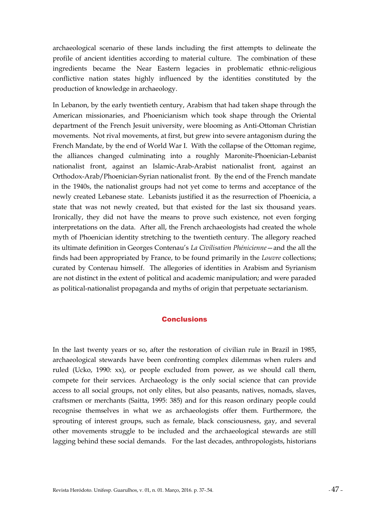archaeological scenario of these lands including the first attempts to delineate the profile of ancient identities according to material culture. The combination of these ingredients became the Near Eastern legacies in problematic ethnic-religious conflictive nation states highly influenced by the identities constituted by the production of knowledge in archaeology.

In Lebanon, by the early twentieth century, Arabism that had taken shape through the American missionaries, and Phoenicianism which took shape through the Oriental department of the French Jesuit university, were blooming as Anti-Ottoman Christian movements. Not rival movements, at first, but grew into severe antagonism during the French Mandate, by the end of World War I. With the collapse of the Ottoman regime, the alliances changed culminating into a roughly Maronite-Phoenician-Lebanist nationalist front, against an Islamic-Arab-Arabist nationalist front, against an Orthodox-Arab/Phoenician-Syrian nationalist front. By the end of the French mandate in the 1940s, the nationalist groups had not yet come to terms and acceptance of the newly created Lebanese state. Lebanists justified it as the resurrection of Phoenicia, a state that was not newly created, but that existed for the last six thousand years. Ironically, they did not have the means to prove such existence, not even forging interpretations on the data. After all, the French archaeologists had created the whole myth of Phoenician identity stretching to the twentieth century. The allegory reached its ultimate definition in Georges Contenau's *La Civilisation Phénicienne*—and the all the finds had been appropriated by France, to be found primarily in the *Louvre* collections; curated by Contenau himself. The allegories of identities in Arabism and Syrianism are not distinct in the extent of political and academic manipulation; and were paraded as political-nationalist propaganda and myths of origin that perpetuate sectarianism.

#### **Conclusions**

In the last twenty years or so, after the restoration of civilian rule in Brazil in 1985, archaeological stewards have been confronting complex dilemmas when rulers and ruled (Ucko, 1990: xx), or people excluded from power, as we should call them, compete for their services. Archaeology is the only social science that can provide access to all social groups, not only elites, but also peasants, natives, nomads, slaves, craftsmen or merchants (Saitta, 1995: 385) and for this reason ordinary people could recognise themselves in what we as archaeologists offer them. Furthermore, the sprouting of interest groups, such as female, black consciousness, gay, and several other movements struggle to be included and the archaeological stewards are still lagging behind these social demands. For the last decades, anthropologists, historians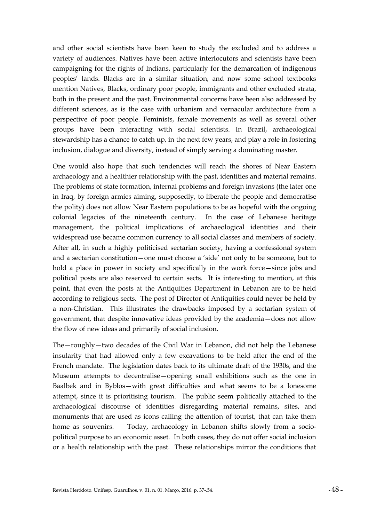and other social scientists have been keen to study the excluded and to address a variety of audiences. Natives have been active interlocutors and scientists have been campaigning for the rights of Indians, particularly for the demarcation of indigenous peoples' lands. Blacks are in a similar situation, and now some school textbooks mention Natives, Blacks, ordinary poor people, immigrants and other excluded strata, both in the present and the past. Environmental concerns have been also addressed by different sciences, as is the case with urbanism and vernacular architecture from a perspective of poor people. Feminists, female movements as well as several other groups have been interacting with social scientists. In Brazil, archaeological stewardship has a chance to catch up, in the next few years, and play a role in fostering inclusion, dialogue and diversity, instead of simply serving a dominating master.

One would also hope that such tendencies will reach the shores of Near Eastern archaeology and a healthier relationship with the past, identities and material remains. The problems of state formation, internal problems and foreign invasions (the later one in Iraq, by foreign armies aiming, supposedly, to liberate the people and democratise the polity) does not allow Near Eastern populations to be as hopeful with the ongoing colonial legacies of the nineteenth century. In the case of Lebanese heritage management, the political implications of archaeological identities and their widespread use became common currency to all social classes and members of society. After all, in such a highly politicised sectarian society, having a confessional system and a sectarian constitution—one must choose a 'side' not only to be someone, but to hold a place in power in society and specifically in the work force—since jobs and political posts are also reserved to certain sects. It is interesting to mention, at this point, that even the posts at the Antiquities Department in Lebanon are to be held according to religious sects. The post of Director of Antiquities could never be held by a non-Christian. This illustrates the drawbacks imposed by a sectarian system of government, that despite innovative ideas provided by the academia—does not allow the flow of new ideas and primarily of social inclusion.

The—roughly—two decades of the Civil War in Lebanon, did not help the Lebanese insularity that had allowed only a few excavations to be held after the end of the French mandate. The legislation dates back to its ultimate draft of the 1930s, and the Museum attempts to decentralise—opening small exhibitions such as the one in Baalbek and in Byblos—with great difficulties and what seems to be a lonesome attempt, since it is prioritising tourism. The public seem politically attached to the archaeological discourse of identities disregarding material remains, sites, and monuments that are used as icons calling the attention of tourist, that can take them home as souvenirs. Today, archaeology in Lebanon shifts slowly from a sociopolitical purpose to an economic asset. In both cases, they do not offer social inclusion or a health relationship with the past. These relationships mirror the conditions that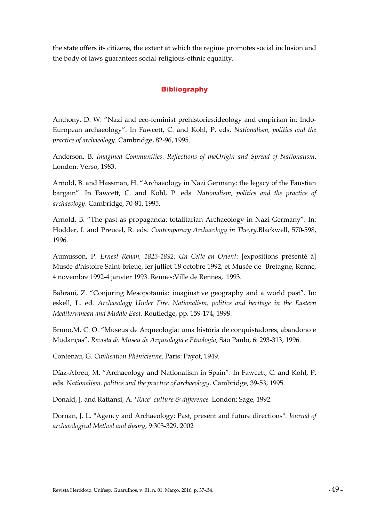the state offers its citizens, the extent at which the regime promotes social inclusion and the body of laws guarantees social-religious-ethnic equality.

## **Bibliography**

Anthony, D. W. "Nazi and eco-feminist prehistories:ideology and empirism in: Indo-European archaeology". In Fawcett, C. and Kohl, P. eds. *Nationalism, politics and the practice of archaeology*. Cambridge, 82-96, 1995.

Anderson, B. *Imagined Communities. Reflections of theOrigin and Spread of Nationalism*. London: Verso, 1983.

Arnold, B. and Hassman, H. "Archaeology in Nazi Germany: the legacy of the Faustian bargain". In Fawcett, C. and Kohl, P. eds. *Nationalism, politics and the practice of archaeology*. Cambridge, 70-81, 1995.

Arnold, B. "The past as propaganda: totalitarian Archaeology in Nazi Germany". In*:*  Hodder, I. and Preucel, R. eds. *Contemporary Archaeology in Theory*.Blackwell, 570-598, 1996.

Aumusson, P. *Ernest Renan, 1823-1892: Un Celte en Orient*: [expositions présenté à] Musée d'histoire Saint-brieue, ler julliet-18 octobre 1992, et Musée de Bretagne, Renne, 4 novembre 1992-4 janvier 1993. Rennes:Ville de Rennes, 1993.

Bahrani, Z. "Conjuring Mesopotamia: imaginative geography and a world past". In: eskell, L. ed. *Archaeology Under Fire. Nationalism, politics and heritage in the Eastern Mediterranean and Middle East*. Routledge, pp. 159-174, 1998.

Bruno,M. C. O. "Museus de Arqueologia: uma história de conquistadores, abandono e Mudanças". *Revista do Museu de Arqueologia e Etnologia*, São Paulo, 6: 293-313, 1996.

Contenau, G. *Civilisation Phénicienne*. Paris: Payot, 1949.

Díaz-Abreu, M. "Archaeology and Nationalism in Spain". In Fawcett, C. and Kohl, P. eds. *Nationalism, politics and the practice of archaeology*. Cambridge, 39-53, 1995.

Donald, J. and Rattansi, A. *'Race' culture & difference.* London: Sage, 1992.

Dornan, J. L. "Agency and Archaeology: Past, present and future directions"*. Journal of archaeological Method and theory*, 9:303-329, 2002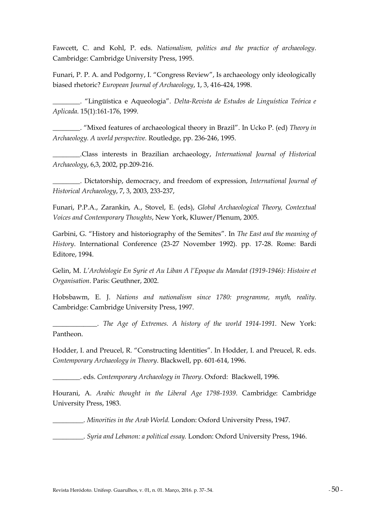Fawcett, C. and Kohl, P. eds. *Nationalism, politics and the practice of archaeology*. Cambridge: Cambridge University Press, 1995.

Funari, P. P. A. and Podgorny, I. "Congress Review", Is archaeology only ideologically biased rhetoric? *European Journal of Archaeology*, 1, 3, 416-424, 1998.

\_\_\_\_\_\_\_\_. "Lingüística e Aqueologia". *Delta-Revista de Estudos de Linguística Teórica e Aplicada*. 15(1):161-176, 1999.

\_\_\_\_\_\_\_\_. "Mixed features of archaeological theory in Brazil". In Ucko P. (ed) *Theory in Archaeology. A world perspective.* Routledge, pp. 236-246, 1995.

\_\_\_\_\_\_\_\_.Class interests in Brazilian archaeology, *International Journal of Historical Archaeology*, 6,3, 2002, pp.209-216.

\_\_\_\_\_\_\_\_. Dictatorship, democracy, and freedom of expression, *International Journal of Historical Archaeology*, 7, 3, 2003, 233-237,

Funari, P.P.A., Zarankin, A., Stovel, E. (eds), *Global Archaeological Theory, Contextual Voices and Contemporary Thoughts*, New York, Kluwer/Plenum, 2005.

Garbini, G. "History and historiography of the Semites". In *The East and the meaning of History*. International Conference (23-27 November 1992). pp. 17-28. Rome: Bardi Editore, 1994.

Gelin, M. *L'Archéologie En Syrie et Au Liban A l'Epoque du Mandat (1919-1946): Histoire et Organisation*. Paris: Geuthner, 2002.

Hobsbawm, E. J. *Nations and nationalism since 1780: programme, myth, reality*. Cambridge: Cambridge University Press, 1997.

\_\_\_\_\_\_\_\_\_\_\_\_\_. *The Age of Extremes. A history of the world 1914-1991*. New York: Pantheon.

Hodder, I. and Preucel, R. "Constructing Identities". In Hodder, I. and Preucel, R. eds. *Contemporary Archaeology in Theory*. Blackwell, pp. 601-614, 1996.

\_\_\_\_\_\_\_\_. eds. *Contemporary Archaeology in Theory*. Oxford: Blackwell, 1996.

Hourani, A. *Arabic thought in the Liberal Age 1798-1939*. Cambridge: Cambridge University Press, 1983.

\_\_\_\_\_\_\_\_\_. *Minorities in the Arab World.* London: Oxford University Press, 1947.

\_\_\_\_\_\_\_\_\_. *Syria and Lebanon: a political essay.* London: Oxford University Press, 1946.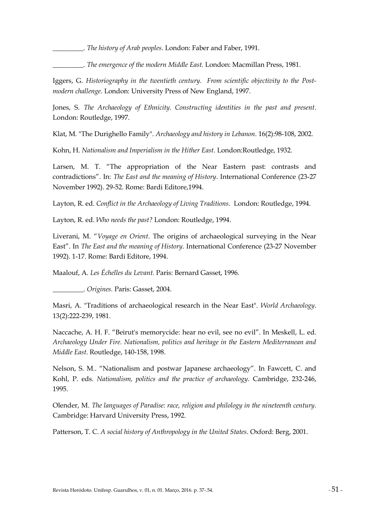\_\_\_\_\_\_\_\_\_. *The history of Arab peoples*. London: Faber and Faber, 1991.

\_\_\_\_\_\_\_\_\_. *The emergence of the modern Middle East.* London: Macmillan Press, 1981.

Iggers, G. *Historiography in the twentieth century. From scientific objectivity to the Postmodern challenge.* London: University Press of New England, 1997.

Jones, S. *The Archaeology of Ethnicity. Constructing identities in the past and present*. London: Routledge, 1997.

Klat, M. "The Durighello Family". *Archaeology and history in Lebanon*. 16(2):98-108, 2002.

Kohn, H. *Nationalism and Imperialism in the Hither East.* London:Routledge, 1932.

Larsen, M. T. "The appropriation of the Near Eastern past: contrasts and contradictions". In: *The East and the meaning of History*. International Conference (23-27 November 1992). 29-52. Rome: Bardi Editore,1994.

Layton, R. ed. *Conflict in the Archaeology of Living Traditions*. London: Routledge, 1994.

Layton, R. ed. *Who needs the past?* London: Routledge, 1994.

Liverani, M. "*Voyage en Orient*. The origins of archaeological surveying in the Near East". In *The East and the meaning of History*. International Conference (23-27 November 1992). 1-17. Rome: Bardi Editore, 1994.

Maalouf, A. *Les Échelles du Levant.* Paris: Bernard Gasset, 1996.

\_\_\_\_\_\_\_\_\_. *Origines.* Paris: Gasset, 2004.

Masri, A. "Traditions of archaeological research in the Near East". *World Archaeology*. 13(2):222-239, 1981.

Naccache, A. H. F. "Beirut's memorycide: hear no evil, see no evil". In Meskell, L. ed. *Archaeology Under Fire. Nationalism, politics and heritage in the Eastern Mediterranean and Middle East*. Routledge, 140-158, 1998.

Nelson, S. M.. "Nationalism and postwar Japanese archaeology". In Fawcett, C. and Kohl, P. eds. *Nationalism, politics and the practice of archaeology*. Cambridge, 232-246, 1995.

Olender, M. *The languages of Paradise: race, religion and philology in the nineteenth century.* Cambridge: Harvard University Press, 1992.

Patterson, T. C. *A social history of Anthropology in the United States*. Oxford: Berg, 2001.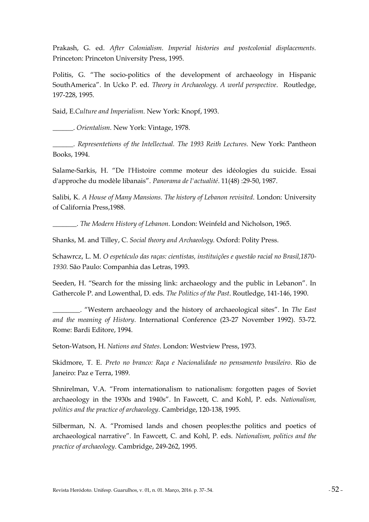Prakash, G. ed. *After Colonialism. Imperial histories and postcolonial displacements.*  Princeton: Princeton University Press, 1995.

Politis, G. "The socio-politics of the development of archaeology in Hispanic SouthAmerica". In Ucko P. ed. *Theory in Archaeology. A world perspective*. Routledge, 197-228, 1995.

Said, E.*Culture and Imperialism.* New York: Knopf, 1993.

\_\_\_\_\_\_. *Orientalism*. New York: Vintage, 1978.

\_\_\_\_\_\_. *Representetions of the Intellectual. The 1993 Reith Lectures.* New York: Pantheon Books, 1994.

Salame-Sarkis, H. "De l'Histoire comme moteur des idéologies du suicide. Essai d'approche du modèle libanais". *Panorama de l'actualité*. 11(48) :29-50, 1987.

Salibi, K. *A House of Many Mansions. The history of Lebanon revisited*. London: University of California Press,1988.

\_\_\_\_\_\_\_. *The Modern History of Lebanon*. London: Weinfeld and Nicholson, 1965.

Shanks, M. and Tilley, C. *Social theory and Archaeology.* Oxford: Polity Press.

Schawrcz, L. M. *O espetáculo das raças: cientistas, instituições e questão racial no Brasil,1870- 1930.* São Paulo: Companhia das Letras, 1993.

Seeden, H. "Search for the missing link: archaeology and the public in Lebanon". In Gathercole P. and Lowenthal, D. eds. *The Politics of the Past*. Routledge, 141-146, 1990.

\_\_\_\_\_\_\_\_. "Western archaeology and the history of archaeological sites". In *The East and the meaning of History*. International Conference (23-27 November 1992). 53-72. Rome: Bardi Editore, 1994.

Seton-Watson, H. *Nations and States*. London: Westview Press, 1973.

Skidmore, T. E. *Preto no branco: Raça e Nacionalidade no pensamento brasileiro*. Rio de Janeiro: Paz e Terra, 1989.

Shnirelman, V.A. "From internationalism to nationalism: forgotten pages of Soviet archaeology in the 1930s and 1940s". In Fawcett, C. and Kohl, P. eds. *Nationalism, politics and the practice of archaeology*. Cambridge, 120-138, 1995.

Silberman, N. A. "Promised lands and chosen peoples:the politics and poetics of archaeological narrative". In Fawcett, C. and Kohl, P. eds. *Nationalism, politics and the practice of archaeology*. Cambridge, 249-262, 1995.